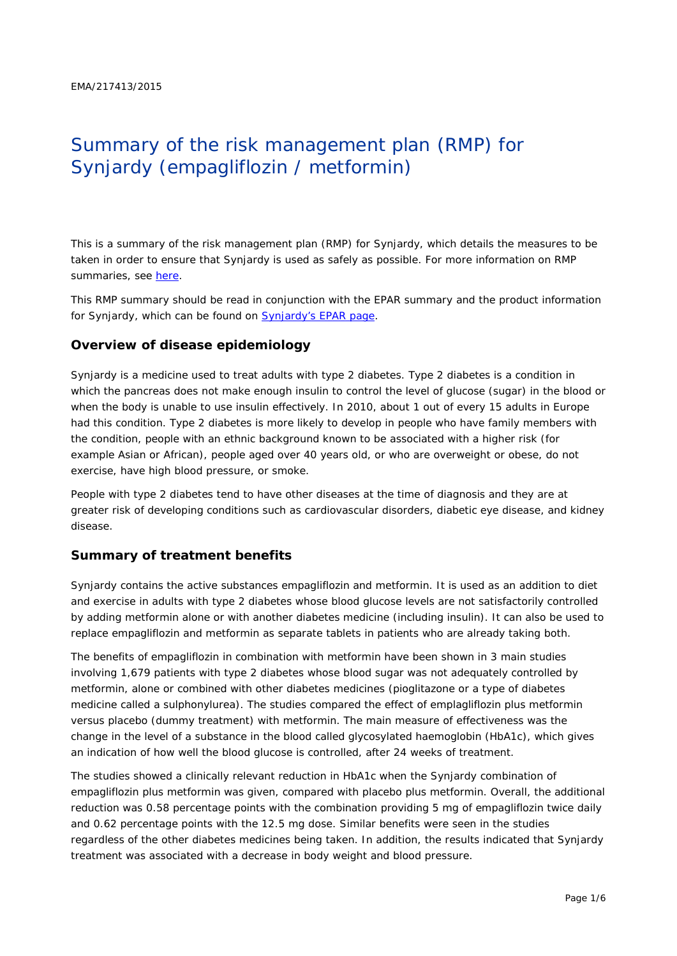# Summary of the risk management plan (RMP) for Synjardy (empagliflozin / metformin)

This is a summary of the risk management plan (RMP) for Synjardy, which details the measures to be taken in order to ensure that Synjardy is used as safely as possible. For more information on RMP summaries, see [here.](http://www.ema.europa.eu/docs/en_GB/document_library/Other/2014/05/WC500166101.pdf)

This RMP summary should be read in conjunction with the EPAR summary and the product information for Synjardy, which can be found on [Synjardy's EPAR page.](http://www.ema.europa.eu/ema/index.jsp?curl=/pages/medicines/human/medicines/003770/human_med_001865.jsp)

#### **Overview of disease epidemiology**

Synjardy is a medicine used to treat adults with type 2 diabetes. Type 2 diabetes is a condition in which the pancreas does not make enough insulin to control the level of glucose (sugar) in the blood or when the body is unable to use insulin effectively. In 2010, about 1 out of every 15 adults in Europe had this condition. Type 2 diabetes is more likely to develop in people who have family members with the condition, people with an ethnic background known to be associated with a higher risk (for example Asian or African), people aged over 40 years old, or who are overweight or obese, do not exercise, have high blood pressure, or smoke.

People with type 2 diabetes tend to have other diseases at the time of diagnosis and they are at greater risk of developing conditions such as cardiovascular disorders, diabetic eye disease, and kidney disease.

#### **Summary of treatment benefits**

Synjardy contains the active substances empagliflozin and metformin. It is used as an addition to diet and exercise in adults with type 2 diabetes whose blood glucose levels are not satisfactorily controlled by adding metformin alone or with another diabetes medicine (including insulin). It can also be used to replace empagliflozin and metformin as separate tablets in patients who are already taking both.

The benefits of empagliflozin in combination with metformin have been shown in 3 main studies involving 1,679 patients with type 2 diabetes whose blood sugar was not adequately controlled by metformin, alone or combined with other diabetes medicines (pioglitazone or a type of diabetes medicine called a sulphonylurea). The studies compared the effect of emplagliflozin plus metformin versus placebo (dummy treatment) with metformin. The main measure of effectiveness was the change in the level of a substance in the blood called glycosylated haemoglobin (HbA1c), which gives an indication of how well the blood glucose is controlled, after 24 weeks of treatment.

The studies showed a clinically relevant reduction in HbA1c when the Synjardy combination of empagliflozin plus metformin was given, compared with placebo plus metformin. Overall, the additional reduction was 0.58 percentage points with the combination providing 5 mg of empagliflozin twice daily and 0.62 percentage points with the 12.5 mg dose. Similar benefits were seen in the studies regardless of the other diabetes medicines being taken. In addition, the results indicated that Synjardy treatment was associated with a decrease in body weight and blood pressure.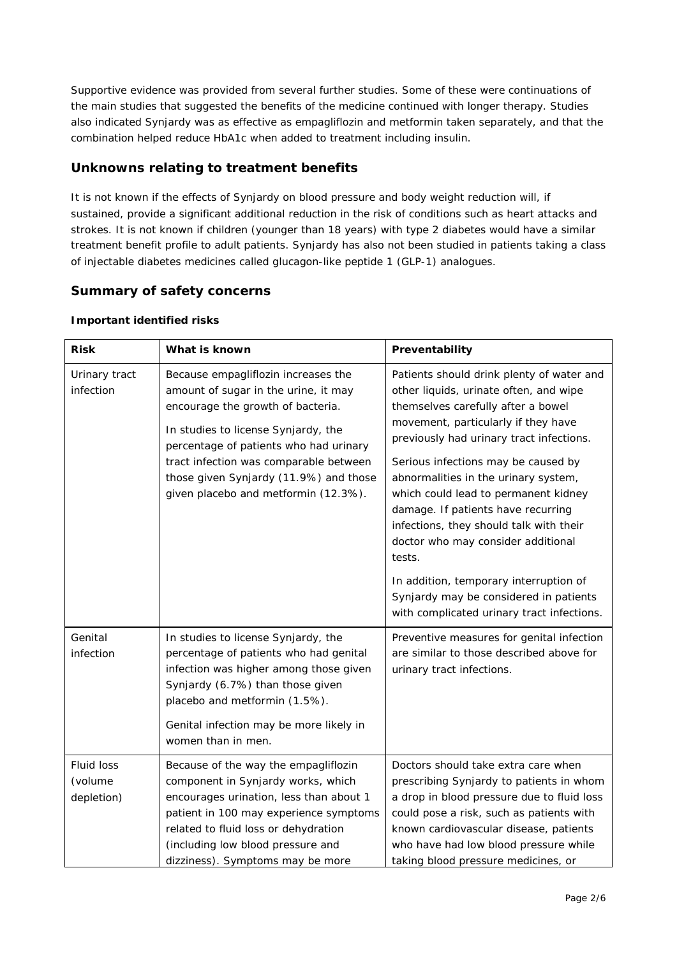Supportive evidence was provided from several further studies. Some of these were continuations of the main studies that suggested the benefits of the medicine continued with longer therapy. Studies also indicated Synjardy was as effective as empagliflozin and metformin taken separately, and that the combination helped reduce HbA1c when added to treatment including insulin.

# **Unknowns relating to treatment benefits**

It is not known if the effects of Synjardy on blood pressure and body weight reduction will, if sustained, provide a significant additional reduction in the risk of conditions such as heart attacks and strokes. It is not known if children (younger than 18 years) with type 2 diabetes would have a similar treatment benefit profile to adult patients. Synjardy has also not been studied in patients taking a class of injectable diabetes medicines called glucagon-like peptide 1 (GLP-1) analogues.

# **Summary of safety concerns**

| <b>Risk</b>                         | What is known                                                                                                                                                                                                                                                                                                                 | Preventability                                                                                                                                                                                                                                                                                                                                                                                                                                                                                                                                                                                         |
|-------------------------------------|-------------------------------------------------------------------------------------------------------------------------------------------------------------------------------------------------------------------------------------------------------------------------------------------------------------------------------|--------------------------------------------------------------------------------------------------------------------------------------------------------------------------------------------------------------------------------------------------------------------------------------------------------------------------------------------------------------------------------------------------------------------------------------------------------------------------------------------------------------------------------------------------------------------------------------------------------|
| Urinary tract<br>infection          | Because empagliflozin increases the<br>amount of sugar in the urine, it may<br>encourage the growth of bacteria.<br>In studies to license Synjardy, the<br>percentage of patients who had urinary<br>tract infection was comparable between<br>those given Synjardy (11.9%) and those<br>given placebo and metformin (12.3%). | Patients should drink plenty of water and<br>other liquids, urinate often, and wipe<br>themselves carefully after a bowel<br>movement, particularly if they have<br>previously had urinary tract infections.<br>Serious infections may be caused by<br>abnormalities in the urinary system,<br>which could lead to permanent kidney<br>damage. If patients have recurring<br>infections, they should talk with their<br>doctor who may consider additional<br>tests.<br>In addition, temporary interruption of<br>Synjardy may be considered in patients<br>with complicated urinary tract infections. |
| Genital<br>infection                | In studies to license Synjardy, the<br>percentage of patients who had genital<br>infection was higher among those given<br>Synjardy (6.7%) than those given<br>placebo and metformin (1.5%).<br>Genital infection may be more likely in<br>women than in men.                                                                 | Preventive measures for genital infection<br>are similar to those described above for<br>urinary tract infections.                                                                                                                                                                                                                                                                                                                                                                                                                                                                                     |
| Fluid loss<br>(volume<br>depletion) | Because of the way the empagliflozin<br>component in Synjardy works, which<br>encourages urination, less than about 1<br>patient in 100 may experience symptoms<br>related to fluid loss or dehydration<br>(including low blood pressure and<br>dizziness). Symptoms may be more                                              | Doctors should take extra care when<br>prescribing Synjardy to patients in whom<br>a drop in blood pressure due to fluid loss<br>could pose a risk, such as patients with<br>known cardiovascular disease, patients<br>who have had low blood pressure while<br>taking blood pressure medicines, or                                                                                                                                                                                                                                                                                                    |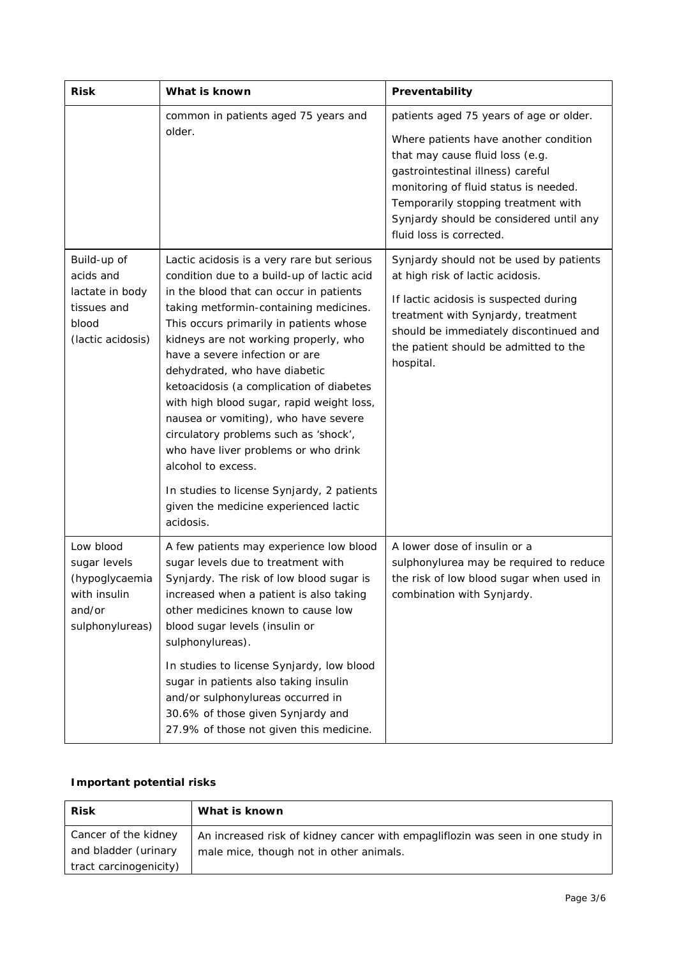| <b>Risk</b>                                                                              | What is known                                                                                                                                                                                                                                                                                                                                                                                                                                                                                                                                                                                                                                                                    | Preventability                                                                                                                                                                                                                                                                                                  |
|------------------------------------------------------------------------------------------|----------------------------------------------------------------------------------------------------------------------------------------------------------------------------------------------------------------------------------------------------------------------------------------------------------------------------------------------------------------------------------------------------------------------------------------------------------------------------------------------------------------------------------------------------------------------------------------------------------------------------------------------------------------------------------|-----------------------------------------------------------------------------------------------------------------------------------------------------------------------------------------------------------------------------------------------------------------------------------------------------------------|
|                                                                                          | common in patients aged 75 years and<br>older.                                                                                                                                                                                                                                                                                                                                                                                                                                                                                                                                                                                                                                   | patients aged 75 years of age or older.<br>Where patients have another condition<br>that may cause fluid loss (e.g.<br>gastrointestinal illness) careful<br>monitoring of fluid status is needed.<br>Temporarily stopping treatment with<br>Synjardy should be considered until any<br>fluid loss is corrected. |
| Build-up of<br>acids and<br>lactate in body<br>tissues and<br>blood<br>(lactic acidosis) | Lactic acidosis is a very rare but serious<br>condition due to a build-up of lactic acid<br>in the blood that can occur in patients<br>taking metformin-containing medicines.<br>This occurs primarily in patients whose<br>kidneys are not working properly, who<br>have a severe infection or are<br>dehydrated, who have diabetic<br>ketoacidosis (a complication of diabetes<br>with high blood sugar, rapid weight loss,<br>nausea or vomiting), who have severe<br>circulatory problems such as 'shock',<br>who have liver problems or who drink<br>alcohol to excess.<br>In studies to license Synjardy, 2 patients<br>given the medicine experienced lactic<br>acidosis. | Synjardy should not be used by patients<br>at high risk of lactic acidosis.<br>If lactic acidosis is suspected during<br>treatment with Synjardy, treatment<br>should be immediately discontinued and<br>the patient should be admitted to the<br>hospital.                                                     |
| Low blood<br>sugar levels<br>(hypoglycaemia<br>with insulin<br>and/or<br>sulphonylureas) | A few patients may experience low blood<br>sugar levels due to treatment with<br>Synjardy. The risk of low blood sugar is<br>increased when a patient is also taking<br>other medicines known to cause low<br>blood sugar levels (insulin or<br>sulphonylureas).<br>In studies to license Synjardy, low blood<br>sugar in patients also taking insulin<br>and/or sulphonylureas occurred in<br>30.6% of those given Synjardy and<br>27.9% of those not given this medicine.                                                                                                                                                                                                      | A lower dose of insulin or a<br>sulphonylurea may be required to reduce<br>the risk of low blood sugar when used in<br>combination with Synjardy.                                                                                                                                                               |

## *Important potential risks*

| <b>Risk</b>                                  | What is known                                                                                                             |
|----------------------------------------------|---------------------------------------------------------------------------------------------------------------------------|
| Cancer of the kidney<br>and bladder (urinary | An increased risk of kidney cancer with empagliflozin was seen in one study in<br>male mice, though not in other animals. |
| tract carcinogenicity)                       |                                                                                                                           |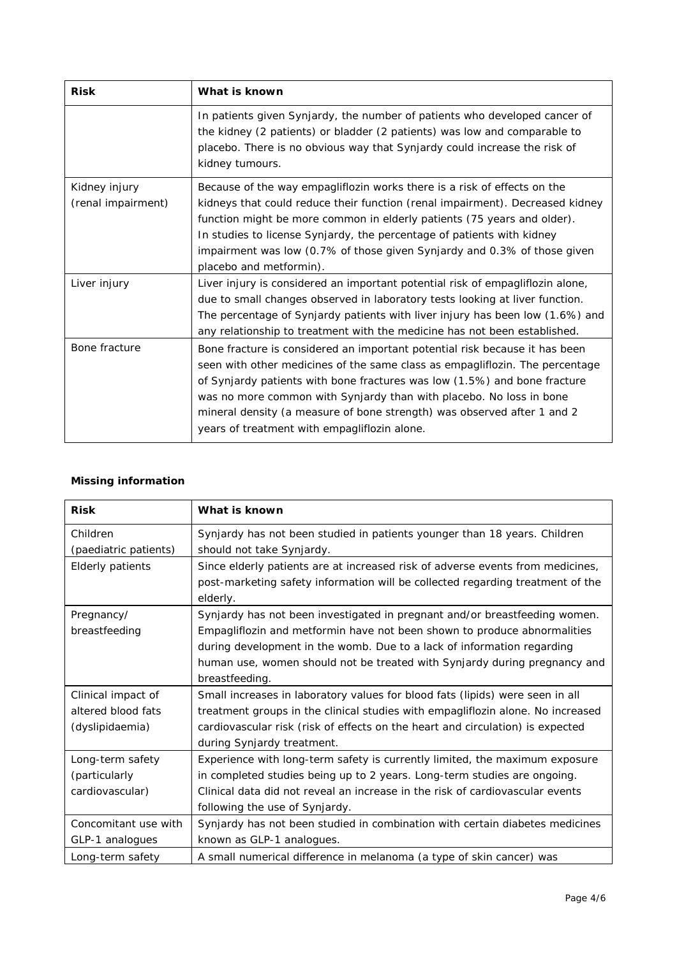| <b>Risk</b>                         | What is known                                                                                                                                                                                                                                                                                                                                                                                                                              |
|-------------------------------------|--------------------------------------------------------------------------------------------------------------------------------------------------------------------------------------------------------------------------------------------------------------------------------------------------------------------------------------------------------------------------------------------------------------------------------------------|
|                                     | In patients given Synjardy, the number of patients who developed cancer of<br>the kidney (2 patients) or bladder (2 patients) was low and comparable to<br>placebo. There is no obvious way that Synjardy could increase the risk of<br>kidney tumours.                                                                                                                                                                                    |
| Kidney injury<br>(renal impairment) | Because of the way empagliflozin works there is a risk of effects on the<br>kidneys that could reduce their function (renal impairment). Decreased kidney<br>function might be more common in elderly patients (75 years and older).<br>In studies to license Synjardy, the percentage of patients with kidney<br>impairment was low (0.7% of those given Synjardy and 0.3% of those given<br>placebo and metformin).                      |
| Liver injury                        | Liver injury is considered an important potential risk of empagliflozin alone,<br>due to small changes observed in laboratory tests looking at liver function.<br>The percentage of Synjardy patients with liver injury has been low (1.6%) and<br>any relationship to treatment with the medicine has not been established.                                                                                                               |
| Bone fracture                       | Bone fracture is considered an important potential risk because it has been<br>seen with other medicines of the same class as empagliflozin. The percentage<br>of Synjardy patients with bone fractures was low (1.5%) and bone fracture<br>was no more common with Synjardy than with placebo. No loss in bone<br>mineral density (a measure of bone strength) was observed after 1 and 2<br>years of treatment with empagliflozin alone. |

# *Missing information*

| <b>Risk</b>           | What is known                                                                   |
|-----------------------|---------------------------------------------------------------------------------|
| Children              | Synjardy has not been studied in patients younger than 18 years. Children       |
| (paediatric patients) | should not take Synjardy.                                                       |
| Elderly patients      | Since elderly patients are at increased risk of adverse events from medicines,  |
|                       | post-marketing safety information will be collected regarding treatment of the  |
|                       | elderly.                                                                        |
| Pregnancy/            | Synjardy has not been investigated in pregnant and/or breastfeeding women.      |
| breastfeeding         | Empagliflozin and metformin have not been shown to produce abnormalities        |
|                       | during development in the womb. Due to a lack of information regarding          |
|                       | human use, women should not be treated with Synjardy during pregnancy and       |
|                       | breastfeeding.                                                                  |
| Clinical impact of    | Small increases in laboratory values for blood fats (lipids) were seen in all   |
| altered blood fats    | treatment groups in the clinical studies with empagliflozin alone. No increased |
| (dyslipidaemia)       | cardiovascular risk (risk of effects on the heart and circulation) is expected  |
|                       | during Synjardy treatment.                                                      |
| Long-term safety      | Experience with long-term safety is currently limited, the maximum exposure     |
| (particularly         | in completed studies being up to 2 years. Long-term studies are ongoing.        |
| cardiovascular)       | Clinical data did not reveal an increase in the risk of cardiovascular events   |
|                       | following the use of Synjardy.                                                  |
| Concomitant use with  | Synjardy has not been studied in combination with certain diabetes medicines    |
| GLP-1 analogues       | known as GLP-1 analogues.                                                       |
| Long-term safety      | A small numerical difference in melanoma (a type of skin cancer) was            |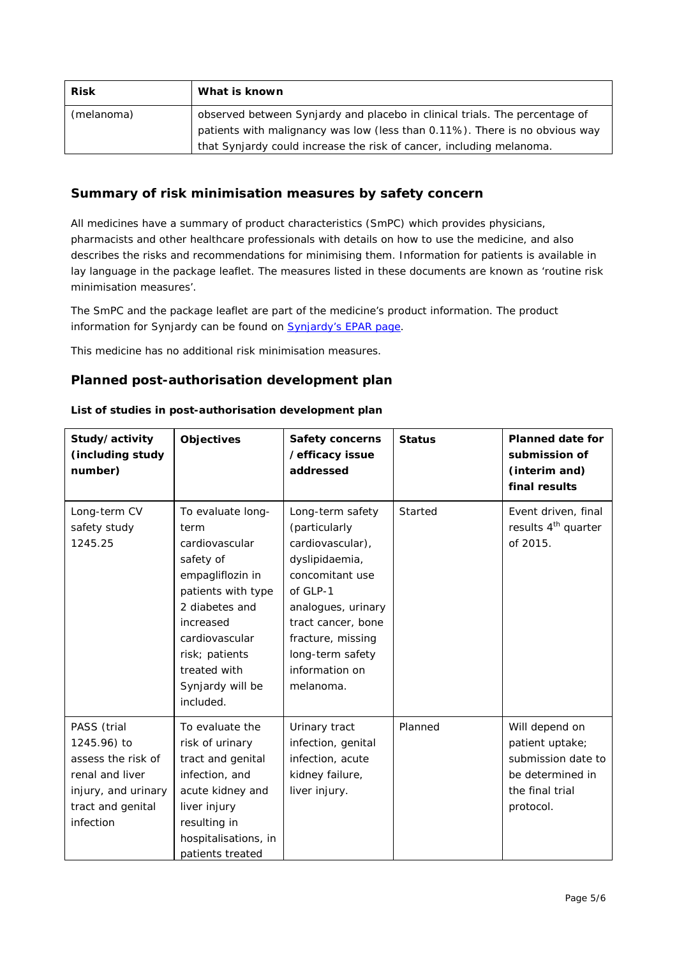| <b>Risk</b> | What is known                                                                                                                                       |
|-------------|-----------------------------------------------------------------------------------------------------------------------------------------------------|
| (melanoma)  | observed between Synjardy and placebo in clinical trials. The percentage of                                                                         |
|             | patients with malignancy was low (less than 0.11%). There is no obvious way<br>that Synjardy could increase the risk of cancer, including melanoma. |

# **Summary of risk minimisation measures by safety concern**

All medicines have a summary of product characteristics (SmPC) which provides physicians, pharmacists and other healthcare professionals with details on how to use the medicine, and also describes the risks and recommendations for minimising them. Information for patients is available in lay language in the package leaflet. The measures listed in these documents are known as 'routine risk minimisation measures'.

The SmPC and the package leaflet are part of the medicine's product information. The product information for Synjardy can be found on **Synjardy's EPAR page**.

This medicine has no additional risk minimisation measures.

#### **Planned post-authorisation development plan**

| List of studies in post-authorisation development plan |  |
|--------------------------------------------------------|--|
|                                                        |  |

| Study/activity<br>(including study<br>number)                                                                                | <b>Objectives</b>                                                                                                                                                                                                      | Safety concerns<br>/efficacy issue<br>addressed                                                                                                                                                                            | <b>Status</b> | <b>Planned date for</b><br>submission of<br>(interim and)<br>final results                                  |
|------------------------------------------------------------------------------------------------------------------------------|------------------------------------------------------------------------------------------------------------------------------------------------------------------------------------------------------------------------|----------------------------------------------------------------------------------------------------------------------------------------------------------------------------------------------------------------------------|---------------|-------------------------------------------------------------------------------------------------------------|
| Long-term CV<br>safety study<br>1245.25                                                                                      | To evaluate long-<br>term<br>cardiovascular<br>safety of<br>empagliflozin in<br>patients with type<br>2 diabetes and<br>increased<br>cardiovascular<br>risk; patients<br>treated with<br>Synjardy will be<br>included. | Long-term safety<br>(particularly<br>cardiovascular),<br>dyslipidaemia,<br>concomitant use<br>of GLP-1<br>analogues, urinary<br>tract cancer, bone<br>fracture, missing<br>long-term safety<br>information on<br>melanoma. | Started       | Event driven, final<br>results 4 <sup>th</sup> quarter<br>of 2015.                                          |
| PASS (trial<br>1245.96) to<br>assess the risk of<br>renal and liver<br>injury, and urinary<br>tract and genital<br>infection | To evaluate the<br>risk of urinary<br>tract and genital<br>infection, and<br>acute kidney and<br>liver injury<br>resulting in<br>hospitalisations, in<br>patients treated                                              | Urinary tract<br>infection, genital<br>infection, acute<br>kidney failure,<br>liver injury.                                                                                                                                | Planned       | Will depend on<br>patient uptake;<br>submission date to<br>be determined in<br>the final trial<br>protocol. |